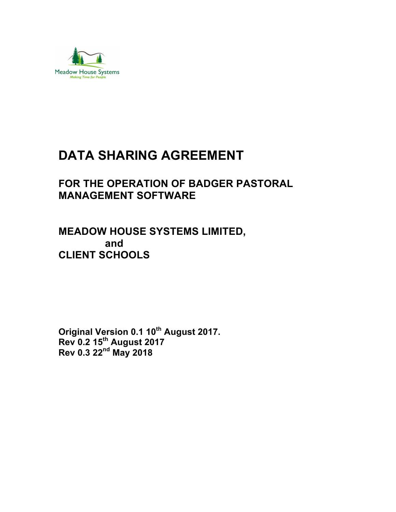

# **DATA SHARING AGREEMENT**

## **FOR THE OPERATION OF BADGER PASTORAL MANAGEMENT SOFTWARE**

## **MEADOW HOUSE SYSTEMS LIMITED, and CLIENT SCHOOLS**

**Original Version 0.1 10th August 2017. Rev 0.2 15th August 2017 Rev 0.3 22nd May 2018**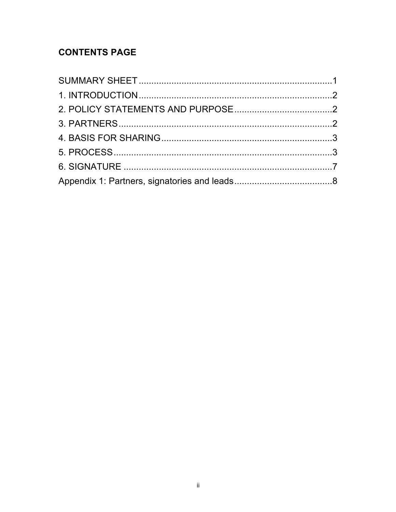## **CONTENTS PAGE**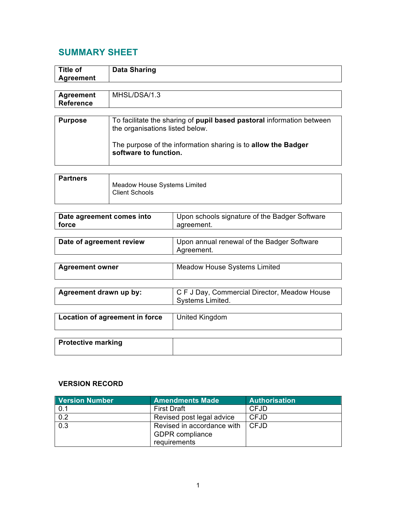## **SUMMARY SHEET**

| <b>Title of</b><br><b>Agreement</b>  | <b>Data Sharing</b>                                                                                      |                                                                  |  |  |
|--------------------------------------|----------------------------------------------------------------------------------------------------------|------------------------------------------------------------------|--|--|
|                                      |                                                                                                          |                                                                  |  |  |
| <b>Agreement</b><br><b>Reference</b> | MHSL/DSA/1.3                                                                                             |                                                                  |  |  |
|                                      |                                                                                                          |                                                                  |  |  |
| <b>Purpose</b>                       | To facilitate the sharing of pupil based pastoral information between<br>the organisations listed below. |                                                                  |  |  |
|                                      | The purpose of the information sharing is to allow the Badger<br>software to function.                   |                                                                  |  |  |
|                                      |                                                                                                          |                                                                  |  |  |
| <b>Partners</b>                      | <b>Meadow House Systems Limited</b><br><b>Client Schools</b>                                             |                                                                  |  |  |
|                                      |                                                                                                          |                                                                  |  |  |
| Date agreement comes into<br>force   |                                                                                                          | Upon schools signature of the Badger Software<br>agreement.      |  |  |
|                                      |                                                                                                          |                                                                  |  |  |
| Date of agreement review             |                                                                                                          | Upon annual renewal of the Badger Software<br>Agreement.         |  |  |
|                                      |                                                                                                          |                                                                  |  |  |
| <b>Agreement owner</b>               |                                                                                                          | <b>Meadow House Systems Limited</b>                              |  |  |
|                                      |                                                                                                          |                                                                  |  |  |
| Agreement drawn up by:               |                                                                                                          | C F J Day, Commercial Director, Meadow House<br>Systems Limited. |  |  |

| Location of agreement in force | United Kingdom |
|--------------------------------|----------------|
| <b>Protective marking</b>      |                |

### **VERSION RECORD**

| <b>Version Number</b> | <b>Amendments Made</b>     | <b>Authorisation</b> |
|-----------------------|----------------------------|----------------------|
| 0.1                   | <b>First Draft</b>         | <b>CFJD</b>          |
| 0.2                   | Revised post legal advice  | <b>CFJD</b>          |
| 0.3                   | Revised in accordance with | <b>CFJD</b>          |
|                       | <b>GDPR</b> compliance     |                      |
|                       | requirements               |                      |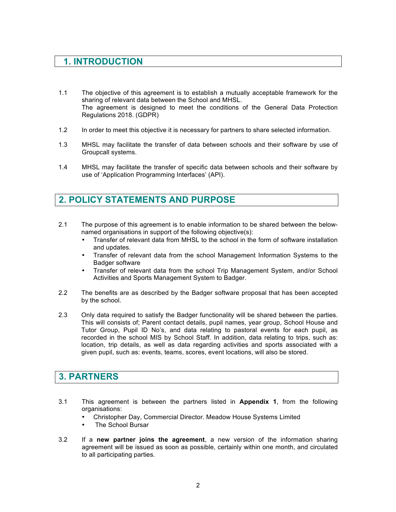## **1. INTRODUCTION**

- 1.1 The objective of this agreement is to establish a mutually acceptable framework for the sharing of relevant data between the School and MHSL. The agreement is designed to meet the conditions of the General Data Protection Regulations 2018. (GDPR)
- 1.2 In order to meet this objective it is necessary for partners to share selected information.
- 1.3 MHSL may facilitate the transfer of data between schools and their software by use of Groupcall systems.
- 1.4 MHSL may facilitate the transfer of specific data between schools and their software by use of 'Application Programming Interfaces' (API).

## **2. POLICY STATEMENTS AND PURPOSE**

- 2.1 The purpose of this agreement is to enable information to be shared between the belownamed organisations in support of the following objective(s):
	- Transfer of relevant data from MHSL to the school in the form of software installation and updates.
	- Transfer of relevant data from the school Management Information Systems to the Badger software
	- Transfer of relevant data from the school Trip Management System, and/or School Activities and Sports Management System to Badger.
- 2.2 The benefits are as described by the Badger software proposal that has been accepted by the school.
- 2.3 Only data required to satisfy the Badger functionality will be shared between the parties. This will consists of; Parent contact details, pupil names, year group, School House and Tutor Group, Pupil ID No's, and data relating to pastoral events for each pupil, as recorded in the school MIS by School Staff. In addition, data relating to trips, such as: location, trip details, as well as data regarding activities and sports associated with a given pupil, such as: events, teams, scores, event locations, will also be stored.

### **3. PARTNERS**

- 3.1 This agreement is between the partners listed in **Appendix 1**, from the following organisations:
	- Christopher Day, Commercial Director. Meadow House Systems Limited
	- The School Bursar
- 3.2 If a **new partner joins the agreement**, a new version of the information sharing agreement will be issued as soon as possible, certainly within one month, and circulated to all participating parties.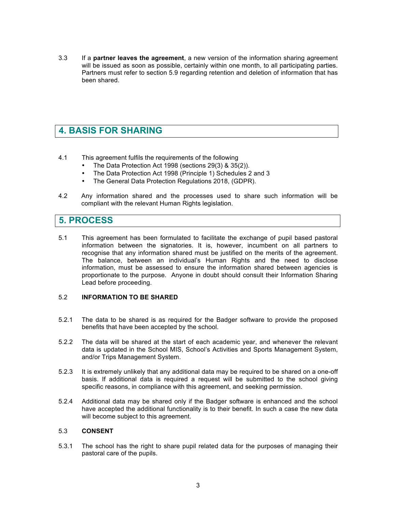3.3 If a **partner leaves the agreement**, a new version of the information sharing agreement will be issued as soon as possible, certainly within one month, to all participating parties. Partners must refer to section 5.9 regarding retention and deletion of information that has been shared.

## **4. BASIS FOR SHARING**

- 4.1 This agreement fulfils the requirements of the following
	- The Data Protection Act 1998 (sections 29(3) & 35(2)).
	- The Data Protection Act 1998 (Principle 1) Schedules 2 and 3
	- The General Data Protection Regulations 2018, (GDPR).
- 4.2 Any information shared and the processes used to share such information will be compliant with the relevant Human Rights legislation.

### **5. PROCESS**

5.1 This agreement has been formulated to facilitate the exchange of pupil based pastoral information between the signatories. It is, however, incumbent on all partners to recognise that any information shared must be justified on the merits of the agreement. The balance, between an individual's Human Rights and the need to disclose information, must be assessed to ensure the information shared between agencies is proportionate to the purpose. Anyone in doubt should consult their Information Sharing Lead before proceeding.

#### 5.2 **INFORMATION TO BE SHARED**

- 5.2.1 The data to be shared is as required for the Badger software to provide the proposed benefits that have been accepted by the school.
- 5.2.2 The data will be shared at the start of each academic year, and whenever the relevant data is updated in the School MIS, School's Activities and Sports Management System, and/or Trips Management System.
- 5.2.3 It is extremely unlikely that any additional data may be required to be shared on a one-off basis. If additional data is required a request will be submitted to the school giving specific reasons, in compliance with this agreement, and seeking permission.
- 5.2.4 Additional data may be shared only if the Badger software is enhanced and the school have accepted the additional functionality is to their benefit. In such a case the new data will become subject to this agreement.

#### 5.3 **CONSENT**

5.3.1 The school has the right to share pupil related data for the purposes of managing their pastoral care of the pupils.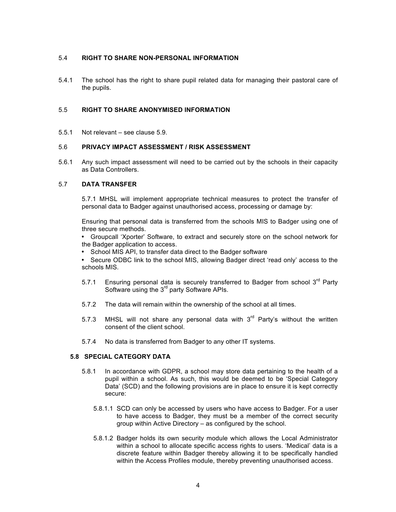#### 5.4 **RIGHT TO SHARE NON-PERSONAL INFORMATION**

5.4.1 The school has the right to share pupil related data for managing their pastoral care of the pupils.

#### 5.5 **RIGHT TO SHARE ANONYMISED INFORMATION**

5.5.1 Not relevant – see clause 5.9.

#### 5.6 **PRIVACY IMPACT ASSESSMENT / RISK ASSESSMENT**

5.6.1 Any such impact assessment will need to be carried out by the schools in their capacity as Data Controllers.

#### 5.7 **DATA TRANSFER**

5.7.1 MHSL will implement appropriate technical measures to protect the transfer of personal data to Badger against unauthorised access, processing or damage by:

Ensuring that personal data is transferred from the schools MIS to Badger using one of three secure methods.

• Groupcall 'Xporter' Software, to extract and securely store on the school network for the Badger application to access.

• School MIS API, to transfer data direct to the Badger software

• Secure ODBC link to the school MIS, allowing Badger direct 'read only' access to the schools MIS.

- 5.7.1 Ensuring personal data is securely transferred to Badger from school  $3^{rd}$  Party Software using the 3<sup>rd</sup> party Software APIs.
- 5.7.2 The data will remain within the ownership of the school at all times.
- 5.7.3 MHSL will not share any personal data with  $3<sup>rd</sup>$  Party's without the written consent of the client school.
- 5.7.4 No data is transferred from Badger to any other IT systems.

#### **5.8 SPECIAL CATEGORY DATA**

- 5.8.1 In accordance with GDPR, a school may store data pertaining to the health of a pupil within a school. As such, this would be deemed to be 'Special Category Data' (SCD) and the following provisions are in place to ensure it is kept correctly secure:
	- 5.8.1.1 SCD can only be accessed by users who have access to Badger. For a user to have access to Badger, they must be a member of the correct security group within Active Directory – as configured by the school.
	- 5.8.1.2 Badger holds its own security module which allows the Local Administrator within a school to allocate specific access rights to users. 'Medical' data is a discrete feature within Badger thereby allowing it to be specifically handled within the Access Profiles module, thereby preventing unauthorised access.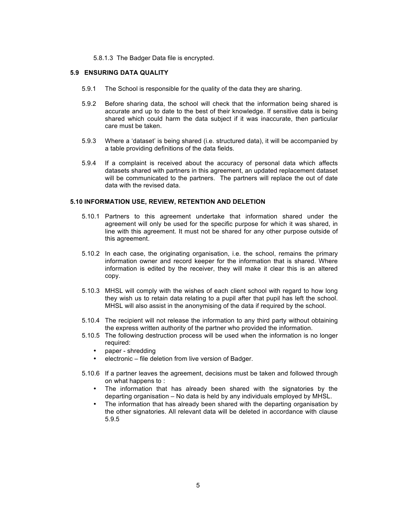#### 5.8.1.3 The Badger Data file is encrypted.

#### **5.9 ENSURING DATA QUALITY**

- 5.9.1 The School is responsible for the quality of the data they are sharing.
- 5.9.2 Before sharing data, the school will check that the information being shared is accurate and up to date to the best of their knowledge. If sensitive data is being shared which could harm the data subject if it was inaccurate, then particular care must be taken.
- 5.9.3 Where a 'dataset' is being shared (i.e. structured data), it will be accompanied by a table providing definitions of the data fields.
- 5.9.4 If a complaint is received about the accuracy of personal data which affects datasets shared with partners in this agreement, an updated replacement dataset will be communicated to the partners. The partners will replace the out of date data with the revised data.

#### **5.10 INFORMATION USE, REVIEW, RETENTION AND DELETION**

- 5.10.1 Partners to this agreement undertake that information shared under the agreement will only be used for the specific purpose for which it was shared, in line with this agreement. It must not be shared for any other purpose outside of this agreement.
- 5.10.2 In each case, the originating organisation, i.e. the school, remains the primary information owner and record keeper for the information that is shared. Where information is edited by the receiver, they will make it clear this is an altered copy.
- 5.10.3 MHSL will comply with the wishes of each client school with regard to how long they wish us to retain data relating to a pupil after that pupil has left the school. MHSL will also assist in the anonymising of the data if required by the school.
- 5.10.4 The recipient will not release the information to any third party without obtaining the express written authority of the partner who provided the information.
- 5.10.5 The following destruction process will be used when the information is no longer required:
	- paper shredding
	- electronic file deletion from live version of Badger.
- 5.10.6 If a partner leaves the agreement, decisions must be taken and followed through on what happens to :
	- The information that has already been shared with the signatories by the departing organisation – No data is held by any individuals employed by MHSL.
	- The information that has already been shared with the departing organisation by the other signatories. All relevant data will be deleted in accordance with clause 5.9.5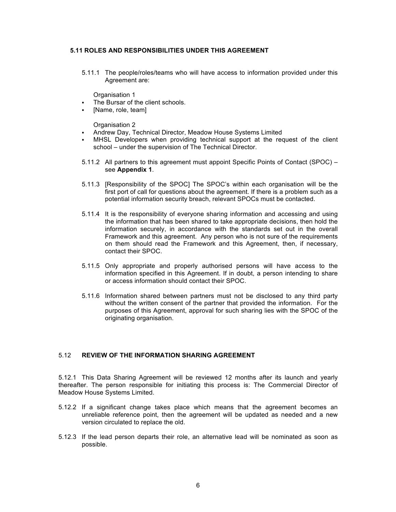#### **5.11 ROLES AND RESPONSIBILITIES UNDER THIS AGREEMENT**

5.11.1 The people/roles/teams who will have access to information provided under this Agreement are:

Organisation 1

- The Bursar of the client schools.
- [Name, role, team]

Organisation 2

- § Andrew Day, Technical Director, Meadow House Systems Limited
- § MHSL Developers when providing technical support at the request of the client school – under the supervision of The Technical Director.
- 5.11.2 All partners to this agreement must appoint Specific Points of Contact (SPOC) see **Appendix 1**.
- 5.11.3 [Responsibility of the SPOC] The SPOC's within each organisation will be the first port of call for questions about the agreement. If there is a problem such as a potential information security breach, relevant SPOCs must be contacted.
- 5.11.4 It is the responsibility of everyone sharing information and accessing and using the information that has been shared to take appropriate decisions, then hold the information securely, in accordance with the standards set out in the overall Framework and this agreement. Any person who is not sure of the requirements on them should read the Framework and this Agreement, then, if necessary, contact their SPOC.
- 5.11.5 Only appropriate and properly authorised persons will have access to the information specified in this Agreement. If in doubt, a person intending to share or access information should contact their SPOC.
- 5.11.6 Information shared between partners must not be disclosed to any third party without the written consent of the partner that provided the information. For the purposes of this Agreement, approval for such sharing lies with the SPOC of the originating organisation.

#### 5.12 **REVIEW OF THE INFORMATION SHARING AGREEMENT**

5.12.1 This Data Sharing Agreement will be reviewed 12 months after its launch and yearly thereafter. The person responsible for initiating this process is: The Commercial Director of Meadow House Systems Limited.

- 5.12.2 If a significant change takes place which means that the agreement becomes an unreliable reference point, then the agreement will be updated as needed and a new version circulated to replace the old.
- 5.12.3 If the lead person departs their role, an alternative lead will be nominated as soon as possible.